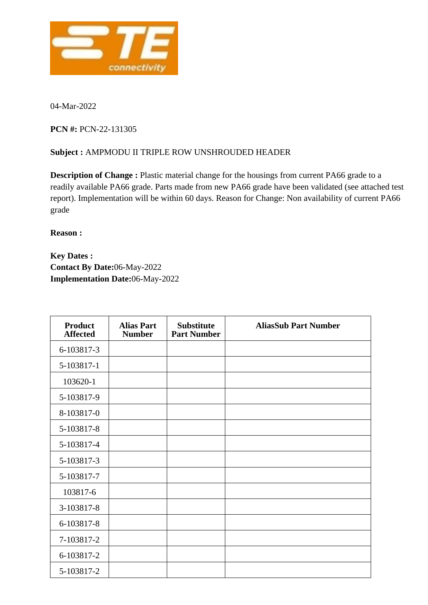

04-Mar-2022

**PCN #:** PCN-22-131305

## **Subject :** AMPMODU II TRIPLE ROW UNSHROUDED HEADER

**Description of Change :** Plastic material change for the housings from current PA66 grade to a readily available PA66 grade. Parts made from new PA66 grade have been validated (see attached test report). Implementation will be within 60 days. Reason for Change: Non availability of current PA66 grade

**Reason :**

**Key Dates : Contact By Date:**06-May-2022 **Implementation Date:**06-May-2022

| <b>Product</b><br><b>Affected</b> | <b>Alias Part</b><br><b>Number</b> | <b>Substitute</b><br><b>Part Number</b> | <b>AliasSub Part Number</b> |
|-----------------------------------|------------------------------------|-----------------------------------------|-----------------------------|
| 6-103817-3                        |                                    |                                         |                             |
| 5-103817-1                        |                                    |                                         |                             |
| 103620-1                          |                                    |                                         |                             |
| 5-103817-9                        |                                    |                                         |                             |
| 8-103817-0                        |                                    |                                         |                             |
| 5-103817-8                        |                                    |                                         |                             |
| 5-103817-4                        |                                    |                                         |                             |
| 5-103817-3                        |                                    |                                         |                             |
| 5-103817-7                        |                                    |                                         |                             |
| 103817-6                          |                                    |                                         |                             |
| 3-103817-8                        |                                    |                                         |                             |
| 6-103817-8                        |                                    |                                         |                             |
| 7-103817-2                        |                                    |                                         |                             |
| 6-103817-2                        |                                    |                                         |                             |
| 5-103817-2                        |                                    |                                         |                             |